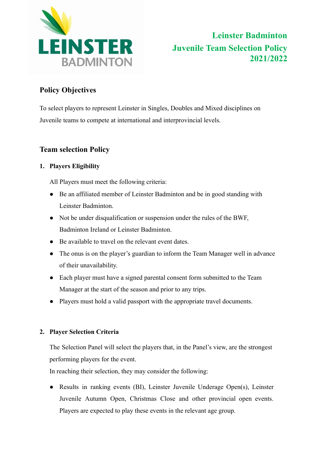

# **Policy Objectives**

To select players to represent Leinster in Singles, Doubles and Mixed disciplines on Juvenile teams to compete at international and interprovincial levels.

## **Team selection Policy**

## **1. Players Eligibility**

All Players must meet the following criteria:

- Be an affiliated member of Leinster Badminton and be in good standing with Leinster Badminton.
- Not be under disqualification or suspension under the rules of the BWF, Badminton Ireland or Leinster Badminton.
- Be available to travel on the relevant event dates.
- The onus is on the player's guardian to inform the Team Manager well in advance of their unavailability.
- Each player must have a signed parental consent form submitted to the Team Manager at the start of the season and prior to any trips.
- Players must hold a valid passport with the appropriate travel documents.

### **2. Player Selection Criteria**

The Selection Panel will select the players that, in the Panel's view, are the strongest performing players for the event.

In reaching their selection, they may consider the following:

● Results in ranking events (BI), Leinster Juvenile Underage Open(s), Leinster Juvenile Autumn Open, Christmas Close and other provincial open events. Players are expected to play these events in the relevant age group.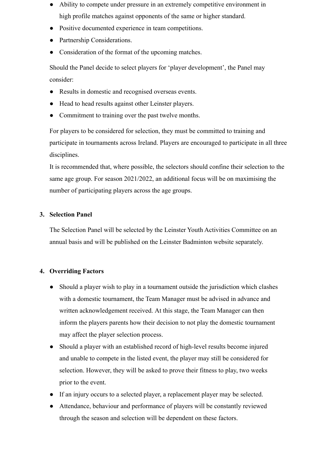- Ability to compete under pressure in an extremely competitive environment in high profile matches against opponents of the same or higher standard.
- Positive documented experience in team competitions.
- Partnership Considerations.
- Consideration of the format of the upcoming matches.

Should the Panel decide to select players for 'player development', the Panel may consider:

- Results in domestic and recognised overseas events.
- Head to head results against other Leinster players.
- Commitment to training over the past twelve months.

For players to be considered for selection, they must be committed to training and participate in tournaments across Ireland. Players are encouraged to participate in all three disciplines.

It is recommended that, where possible, the selectors should confine their selection to the same age group. For season 2021/2022, an additional focus will be on maximising the number of participating players across the age groups.

#### **3. Selection Panel**

The Selection Panel will be selected by the Leinster Youth Activities Committee on an annual basis and will be published on the Leinster Badminton website separately.

#### **4. Overriding Factors**

- Should a player wish to play in a tournament outside the jurisdiction which clashes with a domestic tournament, the Team Manager must be advised in advance and written acknowledgement received. At this stage, the Team Manager can then inform the players parents how their decision to not play the domestic tournament may affect the player selection process.
- Should a player with an established record of high-level results become injured and unable to compete in the listed event, the player may still be considered for selection. However, they will be asked to prove their fitness to play, two weeks prior to the event.
- If an injury occurs to a selected player, a replacement player may be selected.
- Attendance, behaviour and performance of players will be constantly reviewed through the season and selection will be dependent on these factors.